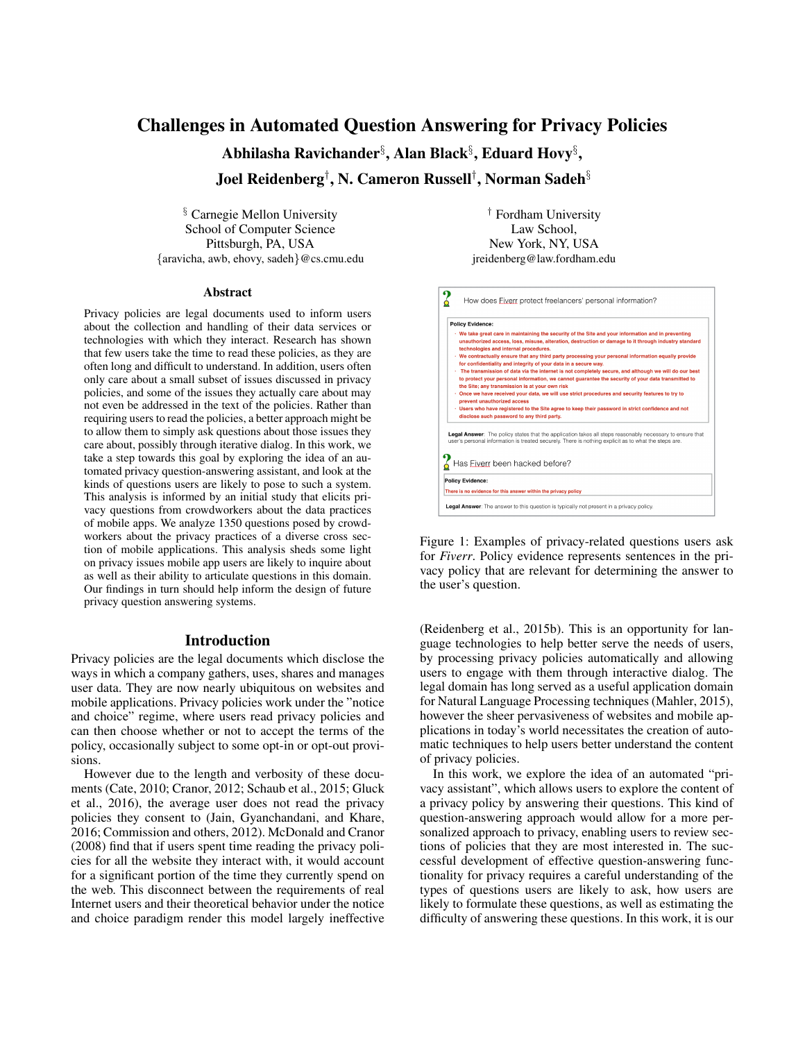# Challenges in Automated Question Answering for Privacy Policies

Abhilasha Ravichander $\S$ , Alan Black $\S$ , Eduard Hovy $\S$ ,

Joel Reidenberg† , N. Cameron Russell† , Norman Sadeh§

§ Carnegie Mellon University School of Computer Science Pittsburgh, PA, USA {aravicha, awb, ehovy, sadeh}@cs.cmu.edu

#### Abstract

Privacy policies are legal documents used to inform users about the collection and handling of their data services or technologies with which they interact. Research has shown that few users take the time to read these policies, as they are often long and difficult to understand. In addition, users often only care about a small subset of issues discussed in privacy policies, and some of the issues they actually care about may not even be addressed in the text of the policies. Rather than requiring users to read the policies, a better approach might be to allow them to simply ask questions about those issues they care about, possibly through iterative dialog. In this work, we take a step towards this goal by exploring the idea of an automated privacy question-answering assistant, and look at the kinds of questions users are likely to pose to such a system. This analysis is informed by an initial study that elicits privacy questions from crowdworkers about the data practices of mobile apps. We analyze 1350 questions posed by crowdworkers about the privacy practices of a diverse cross section of mobile applications. This analysis sheds some light on privacy issues mobile app users are likely to inquire about as well as their ability to articulate questions in this domain. Our findings in turn should help inform the design of future privacy question answering systems.

#### Introduction

Privacy policies are the legal documents which disclose the ways in which a company gathers, uses, shares and manages user data. They are now nearly ubiquitous on websites and mobile applications. Privacy policies work under the "notice and choice" regime, where users read privacy policies and can then choose whether or not to accept the terms of the policy, occasionally subject to some opt-in or opt-out provisions.

However due to the length and verbosity of these documents (Cate, 2010; Cranor, 2012; Schaub et al., 2015; Gluck et al., 2016), the average user does not read the privacy policies they consent to (Jain, Gyanchandani, and Khare, 2016; Commission and others, 2012). McDonald and Cranor (2008) find that if users spent time reading the privacy policies for all the website they interact with, it would account for a significant portion of the time they currently spend on the web. This disconnect between the requirements of real Internet users and their theoretical behavior under the notice and choice paradigm render this model largely ineffective

† Fordham University Law School, New York, NY, USA jreidenberg@law.fordham.edu



Figure 1: Examples of privacy-related questions users ask for *Fiverr*. Policy evidence represents sentences in the privacy policy that are relevant for determining the answer to the user's question.

(Reidenberg et al., 2015b). This is an opportunity for language technologies to help better serve the needs of users, by processing privacy policies automatically and allowing users to engage with them through interactive dialog. The legal domain has long served as a useful application domain for Natural Language Processing techniques (Mahler, 2015), however the sheer pervasiveness of websites and mobile applications in today's world necessitates the creation of automatic techniques to help users better understand the content of privacy policies.

In this work, we explore the idea of an automated "privacy assistant", which allows users to explore the content of a privacy policy by answering their questions. This kind of question-answering approach would allow for a more personalized approach to privacy, enabling users to review sections of policies that they are most interested in. The successful development of effective question-answering functionality for privacy requires a careful understanding of the types of questions users are likely to ask, how users are likely to formulate these questions, as well as estimating the difficulty of answering these questions. In this work, it is our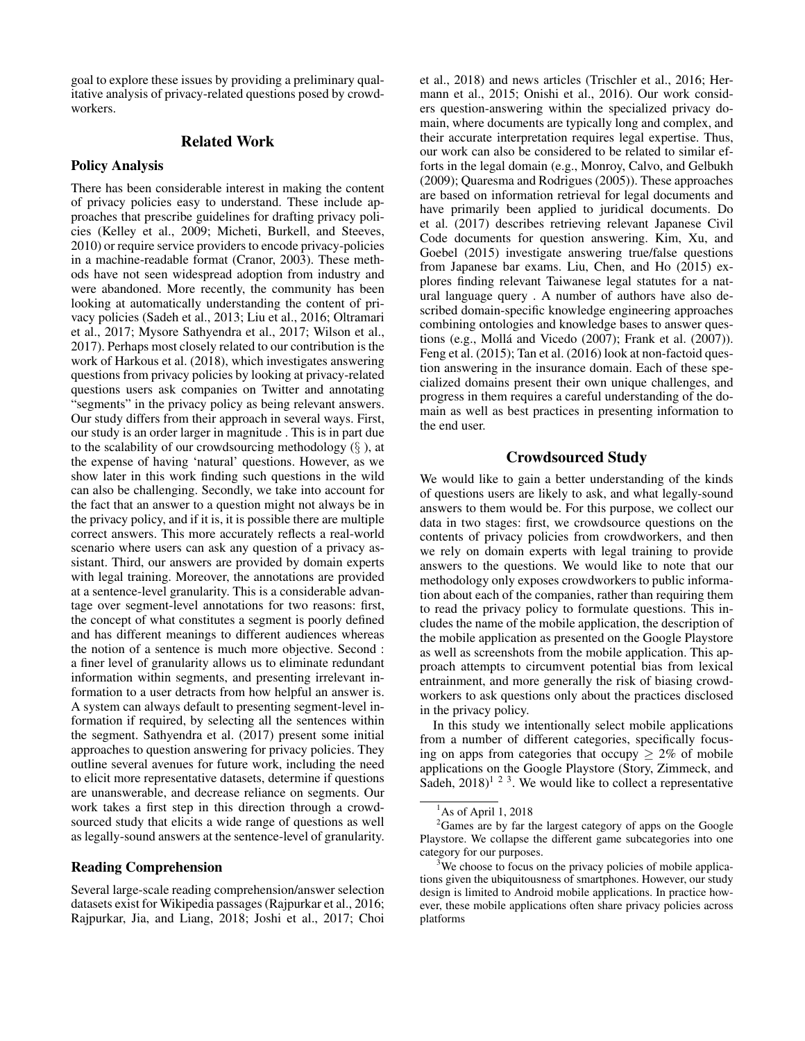goal to explore these issues by providing a preliminary qualitative analysis of privacy-related questions posed by crowdworkers.

### Related Work

#### Policy Analysis

There has been considerable interest in making the content of privacy policies easy to understand. These include approaches that prescribe guidelines for drafting privacy policies (Kelley et al., 2009; Micheti, Burkell, and Steeves, 2010) or require service providers to encode privacy-policies in a machine-readable format (Cranor, 2003). These methods have not seen widespread adoption from industry and were abandoned. More recently, the community has been looking at automatically understanding the content of privacy policies (Sadeh et al., 2013; Liu et al., 2016; Oltramari et al., 2017; Mysore Sathyendra et al., 2017; Wilson et al., 2017). Perhaps most closely related to our contribution is the work of Harkous et al. (2018), which investigates answering questions from privacy policies by looking at privacy-related questions users ask companies on Twitter and annotating "segments" in the privacy policy as being relevant answers. Our study differs from their approach in several ways. First, our study is an order larger in magnitude . This is in part due to the scalability of our crowdsourcing methodology  $(\S)$ , at the expense of having 'natural' questions. However, as we show later in this work finding such questions in the wild can also be challenging. Secondly, we take into account for the fact that an answer to a question might not always be in the privacy policy, and if it is, it is possible there are multiple correct answers. This more accurately reflects a real-world scenario where users can ask any question of a privacy assistant. Third, our answers are provided by domain experts with legal training. Moreover, the annotations are provided at a sentence-level granularity. This is a considerable advantage over segment-level annotations for two reasons: first, the concept of what constitutes a segment is poorly defined and has different meanings to different audiences whereas the notion of a sentence is much more objective. Second : a finer level of granularity allows us to eliminate redundant information within segments, and presenting irrelevant information to a user detracts from how helpful an answer is. A system can always default to presenting segment-level information if required, by selecting all the sentences within the segment. Sathyendra et al. (2017) present some initial approaches to question answering for privacy policies. They outline several avenues for future work, including the need to elicit more representative datasets, determine if questions are unanswerable, and decrease reliance on segments. Our work takes a first step in this direction through a crowdsourced study that elicits a wide range of questions as well as legally-sound answers at the sentence-level of granularity.

# Reading Comprehension

Several large-scale reading comprehension/answer selection datasets exist for Wikipedia passages (Rajpurkar et al., 2016; Rajpurkar, Jia, and Liang, 2018; Joshi et al., 2017; Choi

et al., 2018) and news articles (Trischler et al., 2016; Hermann et al., 2015; Onishi et al., 2016). Our work considers question-answering within the specialized privacy domain, where documents are typically long and complex, and their accurate interpretation requires legal expertise. Thus, our work can also be considered to be related to similar efforts in the legal domain (e.g., Monroy, Calvo, and Gelbukh (2009); Quaresma and Rodrigues (2005)). These approaches are based on information retrieval for legal documents and have primarily been applied to juridical documents. Do et al. (2017) describes retrieving relevant Japanese Civil Code documents for question answering. Kim, Xu, and Goebel (2015) investigate answering true/false questions from Japanese bar exams. Liu, Chen, and Ho (2015) explores finding relevant Taiwanese legal statutes for a natural language query . A number of authors have also described domain-specific knowledge engineering approaches combining ontologies and knowledge bases to answer questions (e.g., Mollá and Vicedo  $(2007)$ ; Frank et al.  $(2007)$ ). Feng et al. (2015); Tan et al. (2016) look at non-factoid question answering in the insurance domain. Each of these specialized domains present their own unique challenges, and progress in them requires a careful understanding of the domain as well as best practices in presenting information to the end user.

# Crowdsourced Study

We would like to gain a better understanding of the kinds of questions users are likely to ask, and what legally-sound answers to them would be. For this purpose, we collect our data in two stages: first, we crowdsource questions on the contents of privacy policies from crowdworkers, and then we rely on domain experts with legal training to provide answers to the questions. We would like to note that our methodology only exposes crowdworkers to public information about each of the companies, rather than requiring them to read the privacy policy to formulate questions. This includes the name of the mobile application, the description of the mobile application as presented on the Google Playstore as well as screenshots from the mobile application. This approach attempts to circumvent potential bias from lexical entrainment, and more generally the risk of biasing crowdworkers to ask questions only about the practices disclosed in the privacy policy.

In this study we intentionally select mobile applications from a number of different categories, specifically focusing on apps from categories that occupy  $\geq 2\%$  of mobile applications on the Google Playstore (Story, Zimmeck, and Sadeh,  $2018$ <sup> $1\ 2\ 3$ </sup>. We would like to collect a representative

 $<sup>1</sup>$ As of April 1, 2018</sup>

 $2<sup>2</sup>$ Games are by far the largest category of apps on the Google Playstore. We collapse the different game subcategories into one category for our purposes.

 $3\%$  We choose to focus on the privacy policies of mobile applications given the ubiquitousness of smartphones. However, our study design is limited to Android mobile applications. In practice however, these mobile applications often share privacy policies across platforms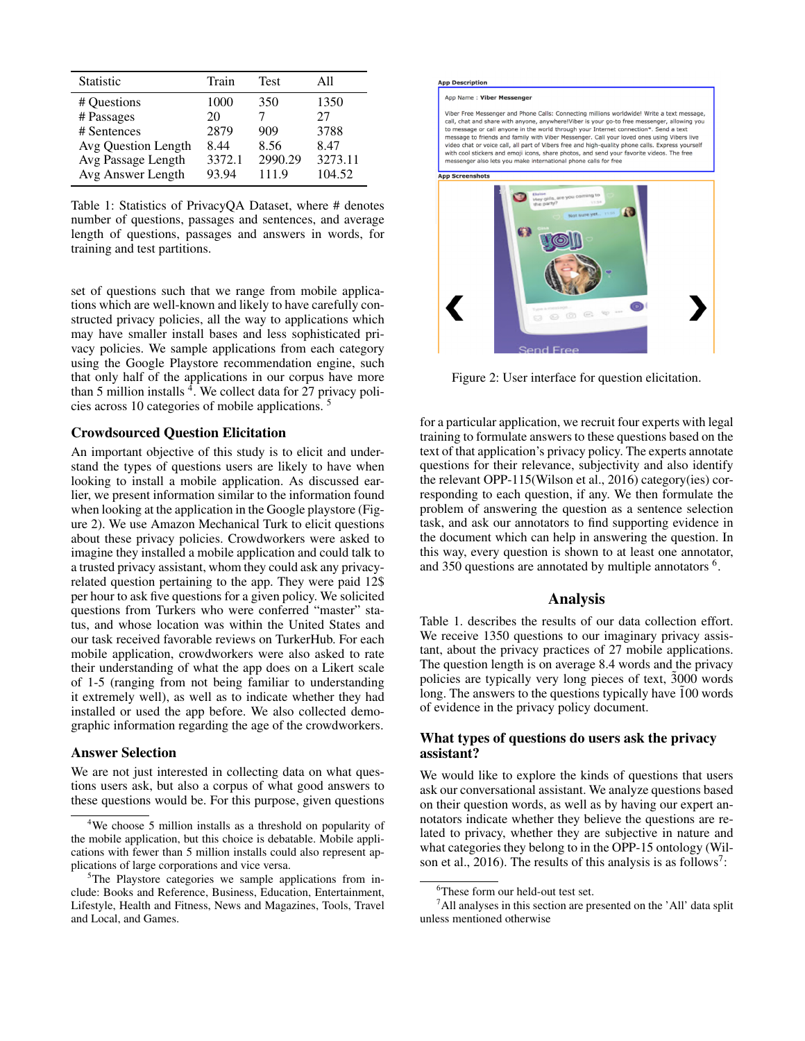| <b>Statistic</b>    | Train  | <b>Test</b> | A11     |
|---------------------|--------|-------------|---------|
| # Questions         | 1000   | 350         | 1350    |
| # Passages          | 20     |             | 27      |
| # Sentences         | 2879   | 909         | 3788    |
| Avg Question Length | 8.44   | 8.56        | 8.47    |
| Avg Passage Length  | 3372.1 | 2990.29     | 3273.11 |
| Avg Answer Length   | 93.94  | 111.9       | 104.52  |

Table 1: Statistics of PrivacyQA Dataset, where # denotes number of questions, passages and sentences, and average length of questions, passages and answers in words, for training and test partitions.

set of questions such that we range from mobile applications which are well-known and likely to have carefully constructed privacy policies, all the way to applications which may have smaller install bases and less sophisticated privacy policies. We sample applications from each category using the Google Playstore recommendation engine, such that only half of the applications in our corpus have more than 5 million installs  $\frac{4}{3}$ . We collect data for 27 privacy policies across 10 categories of mobile applications. <sup>5</sup>

# Crowdsourced Question Elicitation

An important objective of this study is to elicit and understand the types of questions users are likely to have when looking to install a mobile application. As discussed earlier, we present information similar to the information found when looking at the application in the Google playstore (Figure 2). We use Amazon Mechanical Turk to elicit questions about these privacy policies. Crowdworkers were asked to imagine they installed a mobile application and could talk to a trusted privacy assistant, whom they could ask any privacyrelated question pertaining to the app. They were paid 12\$ per hour to ask five questions for a given policy. We solicited questions from Turkers who were conferred "master" status, and whose location was within the United States and our task received favorable reviews on TurkerHub. For each mobile application, crowdworkers were also asked to rate their understanding of what the app does on a Likert scale of 1-5 (ranging from not being familiar to understanding it extremely well), as well as to indicate whether they had installed or used the app before. We also collected demographic information regarding the age of the crowdworkers.

### Answer Selection

We are not just interested in collecting data on what questions users ask, but also a corpus of what good answers to these questions would be. For this purpose, given questions

#### **App Description**

App Name: Viber Messenger

Viber Free Messenger and Phone Calls: Connecting millions worldwide! Write a text message, view researches and share with anyone, anywherelViber is your go-to free messenger, allowing you<br>call, chat and share with anyone, anywherelViber is your go-to free messenger, allowing you<br>to message or call anyone in the interesting to the other and number interventional prior of the other states with constant of the other states with cool stickers and emption and the other states with cool stickers and empti icons, share photos, and send **App Screenshots** 

Figure 2: User interface for question elicitation.

for a particular application, we recruit four experts with legal training to formulate answers to these questions based on the text of that application's privacy policy. The experts annotate questions for their relevance, subjectivity and also identify the relevant OPP-115(Wilson et al., 2016) category(ies) corresponding to each question, if any. We then formulate the problem of answering the question as a sentence selection task, and ask our annotators to find supporting evidence in the document which can help in answering the question. In this way, every question is shown to at least one annotator, and 350 questions are annotated by multiple annotators <sup>6</sup>.

# Analysis

Table 1. describes the results of our data collection effort. We receive 1350 questions to our imaginary privacy assistant, about the privacy practices of 27 mobile applications. The question length is on average 8.4 words and the privacy policies are typically very long pieces of text,  $3000$  words long. The answers to the questions typically have  $100$  words of evidence in the privacy policy document.

# What types of questions do users ask the privacy assistant?

We would like to explore the kinds of questions that users ask our conversational assistant. We analyze questions based on their question words, as well as by having our expert annotators indicate whether they believe the questions are related to privacy, whether they are subjective in nature and what categories they belong to in the OPP-15 ontology (Wilson et al., 2016). The results of this analysis is as follows<sup>7</sup>:

<sup>&</sup>lt;sup>4</sup>We choose 5 million installs as a threshold on popularity of the mobile application, but this choice is debatable. Mobile applications with fewer than 5 million installs could also represent applications of large corporations and vice versa.

<sup>&</sup>lt;sup>5</sup>The Playstore categories we sample applications from include: Books and Reference, Business, Education, Entertainment, Lifestyle, Health and Fitness, News and Magazines, Tools, Travel and Local, and Games.

<sup>6</sup>These form our held-out test set.

 $<sup>7</sup>$ All analyses in this section are presented on the 'All' data split</sup> unless mentioned otherwise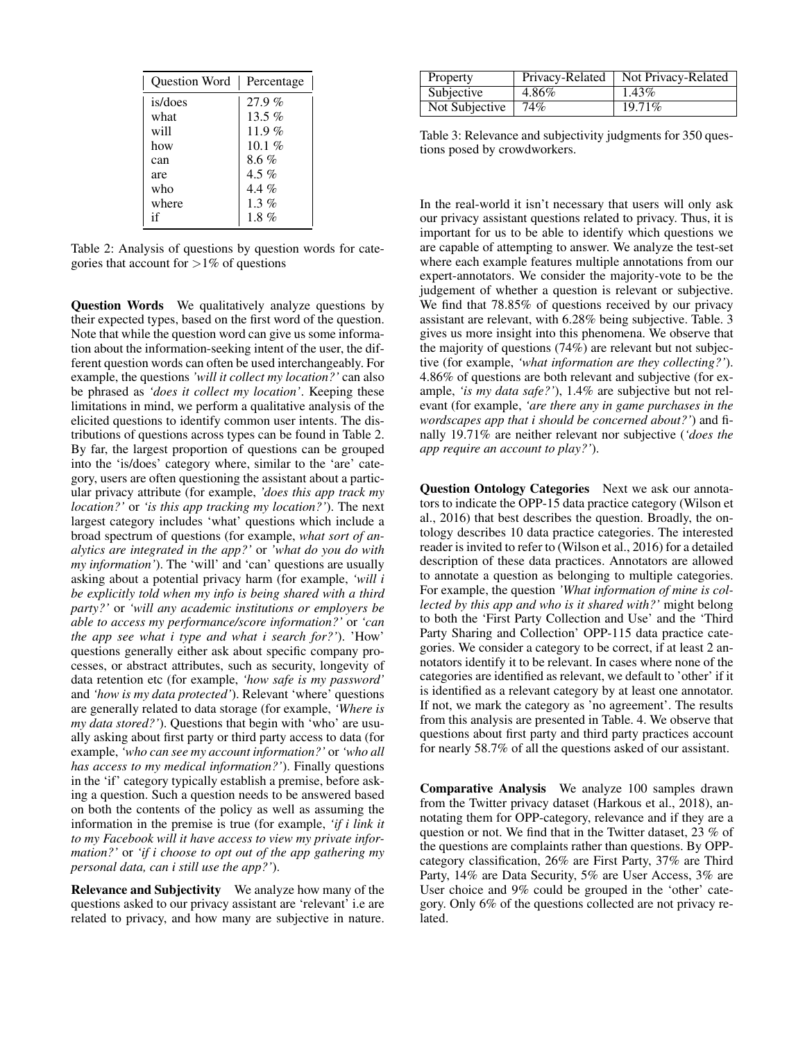| Question Word | Percentage |
|---------------|------------|
| is/does       | 27.9%      |
| what          | $13.5\%$   |
| will          | 11.9 $%$   |
| how           | 10.1 $%$   |
| can           | $8.6\%$    |
| are           | 4.5 $%$    |
| who           | 4.4 %      |
| where         | 1.3 %      |
| if            | 1.8 $%$    |

Table 2: Analysis of questions by question words for categories that account for  $>1\%$  of questions

Question Words We qualitatively analyze questions by their expected types, based on the first word of the question. Note that while the question word can give us some information about the information-seeking intent of the user, the different question words can often be used interchangeably. For example, the questions *'will it collect my location?'* can also be phrased as *'does it collect my location'*. Keeping these limitations in mind, we perform a qualitative analysis of the elicited questions to identify common user intents. The distributions of questions across types can be found in Table 2. By far, the largest proportion of questions can be grouped into the 'is/does' category where, similar to the 'are' category, users are often questioning the assistant about a particular privacy attribute (for example, *'does this app track my location?'* or *'is this app tracking my location?'*). The next largest category includes 'what' questions which include a broad spectrum of questions (for example, *what sort of analytics are integrated in the app?'* or *'what do you do with my information'*). The 'will' and 'can' questions are usually asking about a potential privacy harm (for example, *'will i be explicitly told when my info is being shared with a third party?'* or *'will any academic institutions or employers be able to access my performance/score information?'* or *'can the app see what i type and what i search for?'*). 'How' questions generally either ask about specific company processes, or abstract attributes, such as security, longevity of data retention etc (for example, *'how safe is my password'* and *'how is my data protected'*). Relevant 'where' questions are generally related to data storage (for example, *'Where is my data stored?'*). Questions that begin with 'who' are usually asking about first party or third party access to data (for example, *'who can see my account information?'* or *'who all has access to my medical information?'*). Finally questions in the 'if' category typically establish a premise, before asking a question. Such a question needs to be answered based on both the contents of the policy as well as assuming the information in the premise is true (for example, *'if i link it to my Facebook will it have access to view my private information?'* or *'if i choose to opt out of the app gathering my personal data, can i still use the app?'*).

Relevance and Subjectivity We analyze how many of the questions asked to our privacy assistant are 'relevant' i.e are related to privacy, and how many are subjective in nature.

| Property       | Privacy-Related | Not Privacy-Related |
|----------------|-----------------|---------------------|
| Subjective     | 4.86%           | $1.43\%$            |
| Not Subjective | 74%             | 19.71%              |

Table 3: Relevance and subjectivity judgments for 350 questions posed by crowdworkers.

In the real-world it isn't necessary that users will only ask our privacy assistant questions related to privacy. Thus, it is important for us to be able to identify which questions we are capable of attempting to answer. We analyze the test-set where each example features multiple annotations from our expert-annotators. We consider the majority-vote to be the judgement of whether a question is relevant or subjective. We find that  $78.85\%$  of questions received by our privacy assistant are relevant, with 6.28% being subjective. Table. 3 gives us more insight into this phenomena. We observe that the majority of questions (74%) are relevant but not subjective (for example, *'what information are they collecting?'*). 4.86% of questions are both relevant and subjective (for example, *'is my data safe?'*), 1.4% are subjective but not relevant (for example, *'are there any in game purchases in the wordscapes app that i should be concerned about?'*) and finally 19.71% are neither relevant nor subjective (*'does the app require an account to play?'*).

Question Ontology Categories Next we ask our annotators to indicate the OPP-15 data practice category (Wilson et al., 2016) that best describes the question. Broadly, the ontology describes 10 data practice categories. The interested reader is invited to refer to (Wilson et al., 2016) for a detailed description of these data practices. Annotators are allowed to annotate a question as belonging to multiple categories. For example, the question *'What information of mine is collected by this app and who is it shared with?'* might belong to both the 'First Party Collection and Use' and the 'Third Party Sharing and Collection' OPP-115 data practice categories. We consider a category to be correct, if at least 2 annotators identify it to be relevant. In cases where none of the categories are identified as relevant, we default to 'other' if it is identified as a relevant category by at least one annotator. If not, we mark the category as 'no agreement'. The results from this analysis are presented in Table. 4. We observe that questions about first party and third party practices account for nearly 58.7% of all the questions asked of our assistant.

Comparative Analysis We analyze 100 samples drawn from the Twitter privacy dataset (Harkous et al., 2018), annotating them for OPP-category, relevance and if they are a question or not. We find that in the Twitter dataset, 23 % of the questions are complaints rather than questions. By OPPcategory classification, 26% are First Party, 37% are Third Party, 14% are Data Security, 5% are User Access, 3% are User choice and 9% could be grouped in the 'other' category. Only 6% of the questions collected are not privacy related.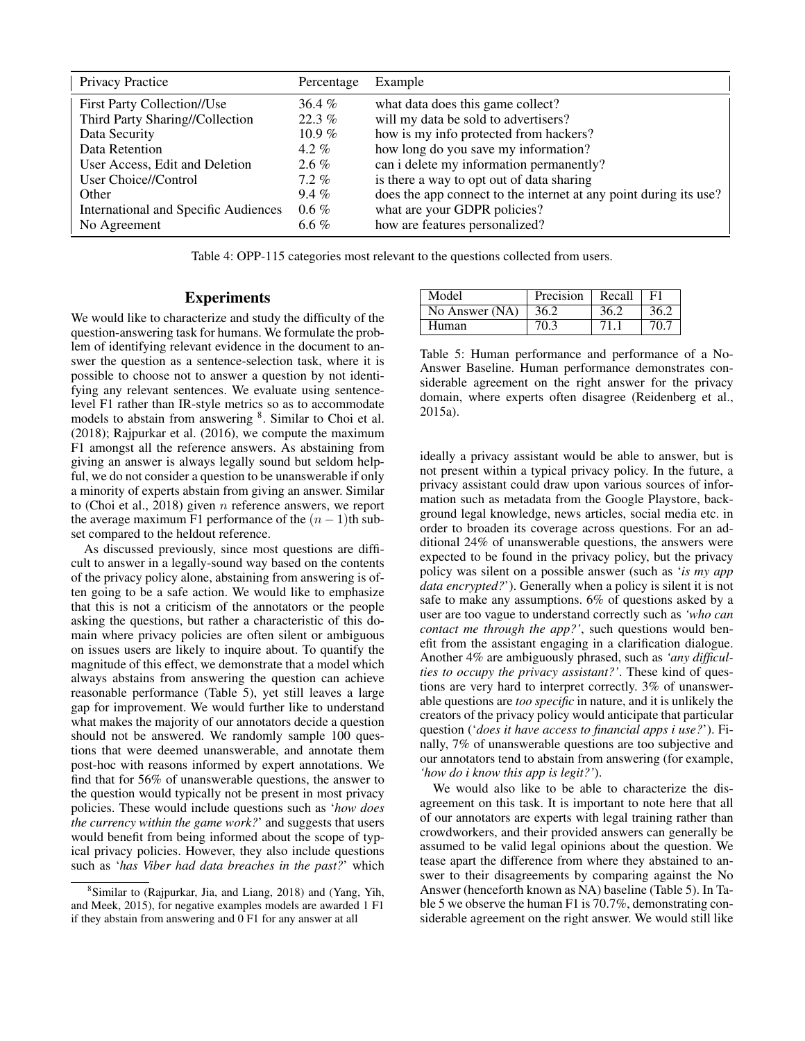| <b>Privacy Practice</b>              | Percentage | Example                                                           |
|--------------------------------------|------------|-------------------------------------------------------------------|
| <b>First Party Collection//Use</b>   | $36.4\%$   | what data does this game collect?                                 |
| Third Party Sharing//Collection      | $22.3\%$   | will my data be sold to advertisers?                              |
| Data Security                        | 10.9 $%$   | how is my info protected from hackers?                            |
| Data Retention                       | $4.2\%$    | how long do you save my information?                              |
| User Access, Edit and Deletion       | $2.6\%$    | can i delete my information permanently?                          |
| User Choice//Control                 | $7.2\%$    | is there a way to opt out of data sharing                         |
| Other                                | $9.4\%$    | does the app connect to the internet at any point during its use? |
| International and Specific Audiences | $0.6\%$    | what are your GDPR policies?                                      |
| No Agreement                         | 6.6 %      | how are features personalized?                                    |

Table 4: OPP-115 categories most relevant to the questions collected from users.

# Experiments

We would like to characterize and study the difficulty of the question-answering task for humans. We formulate the problem of identifying relevant evidence in the document to answer the question as a sentence-selection task, where it is possible to choose not to answer a question by not identifying any relevant sentences. We evaluate using sentencelevel F1 rather than IR-style metrics so as to accommodate models to abstain from answering <sup>8</sup>. Similar to Choi et al. (2018); Rajpurkar et al. (2016), we compute the maximum F1 amongst all the reference answers. As abstaining from giving an answer is always legally sound but seldom helpful, we do not consider a question to be unanswerable if only a minority of experts abstain from giving an answer. Similar to (Choi et al., 2018) given  $n$  reference answers, we report the average maximum F1 performance of the  $(n - 1)$ th subset compared to the heldout reference.

As discussed previously, since most questions are difficult to answer in a legally-sound way based on the contents of the privacy policy alone, abstaining from answering is often going to be a safe action. We would like to emphasize that this is not a criticism of the annotators or the people asking the questions, but rather a characteristic of this domain where privacy policies are often silent or ambiguous on issues users are likely to inquire about. To quantify the magnitude of this effect, we demonstrate that a model which always abstains from answering the question can achieve reasonable performance (Table 5), yet still leaves a large gap for improvement. We would further like to understand what makes the majority of our annotators decide a question should not be answered. We randomly sample 100 questions that were deemed unanswerable, and annotate them post-hoc with reasons informed by expert annotations. We find that for 56% of unanswerable questions, the answer to the question would typically not be present in most privacy policies. These would include questions such as '*how does the currency within the game work?*' and suggests that users would benefit from being informed about the scope of typical privacy policies. However, they also include questions such as '*has Viber had data breaches in the past?*' which

| Model          | Precision | Recall | F1   |
|----------------|-----------|--------|------|
| No Answer (NA) | 36.2      | 36.2   | 36.2 |
| Human          | 70.3      | 71     | 70.7 |

Table 5: Human performance and performance of a No-Answer Baseline. Human performance demonstrates considerable agreement on the right answer for the privacy domain, where experts often disagree (Reidenberg et al., 2015a).

ideally a privacy assistant would be able to answer, but is not present within a typical privacy policy. In the future, a privacy assistant could draw upon various sources of information such as metadata from the Google Playstore, background legal knowledge, news articles, social media etc. in order to broaden its coverage across questions. For an additional 24% of unanswerable questions, the answers were expected to be found in the privacy policy, but the privacy policy was silent on a possible answer (such as '*is my app data encrypted?*'). Generally when a policy is silent it is not safe to make any assumptions. 6% of questions asked by a user are too vague to understand correctly such as *'who can contact me through the app?'*, such questions would benefit from the assistant engaging in a clarification dialogue. Another 4% are ambiguously phrased, such as *'any difficulties to occupy the privacy assistant?'*. These kind of questions are very hard to interpret correctly. 3% of unanswerable questions are *too specific* in nature, and it is unlikely the creators of the privacy policy would anticipate that particular question ('*does it have access to financial apps i use?*'). Finally, 7% of unanswerable questions are too subjective and our annotators tend to abstain from answering (for example, *'how do i know this app is legit?'*).

We would also like to be able to characterize the disagreement on this task. It is important to note here that all of our annotators are experts with legal training rather than crowdworkers, and their provided answers can generally be assumed to be valid legal opinions about the question. We tease apart the difference from where they abstained to answer to their disagreements by comparing against the No Answer (henceforth known as NA) baseline (Table 5). In Table 5 we observe the human F1 is 70.7%, demonstrating considerable agreement on the right answer. We would still like

<sup>8</sup> Similar to (Rajpurkar, Jia, and Liang, 2018) and (Yang, Yih, and Meek, 2015), for negative examples models are awarded 1 F1 if they abstain from answering and 0 F1 for any answer at all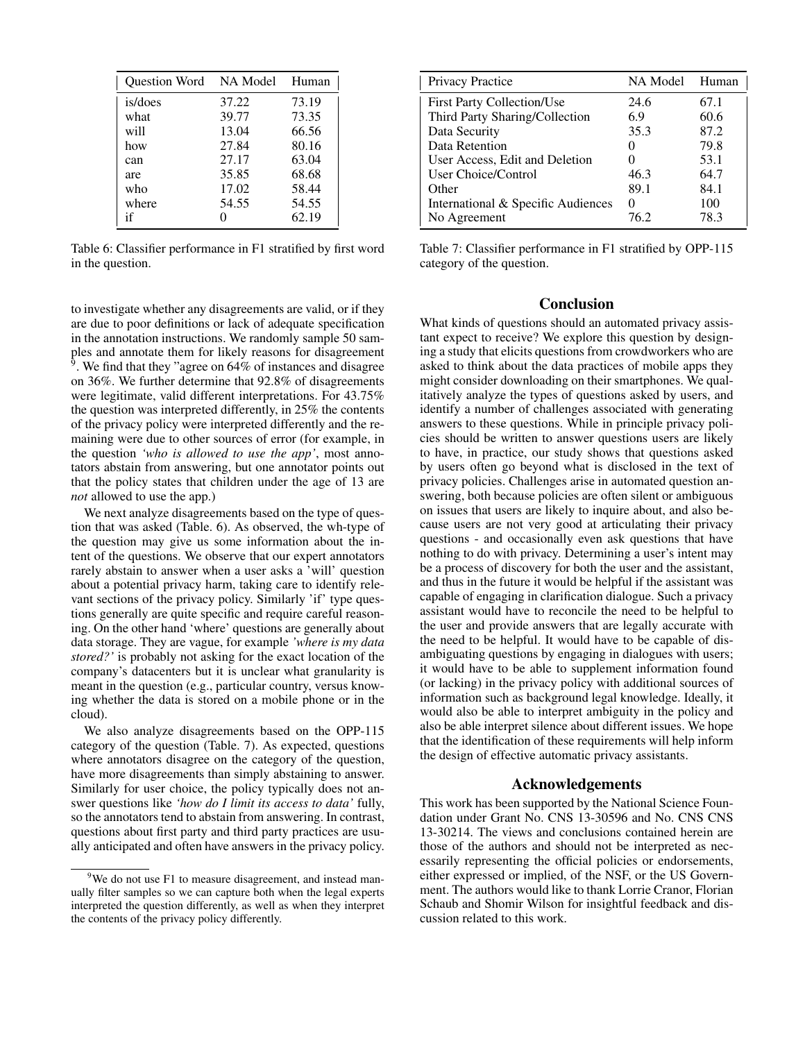| <b>Ouestion Word</b> | NA Model Human |       |
|----------------------|----------------|-------|
| is/does              | 37.22          | 73.19 |
| what                 | 39.77          | 73.35 |
| will                 | 13.04          | 66.56 |
| how                  | 27.84          | 80.16 |
| can                  | 27.17          | 63.04 |
| are                  | 35.85          | 68.68 |
| who                  | 17.02          | 58.44 |
| where                | 54.55          | 54.55 |
| if                   |                | 62.19 |

Table 6: Classifier performance in F1 stratified by first word in the question.

to investigate whether any disagreements are valid, or if they are due to poor definitions or lack of adequate specification in the annotation instructions. We randomly sample 50 samples and annotate them for likely reasons for disagreement <sup>9</sup>. We find that they "agree on  $64\%$  of instances and disagree on 36%. We further determine that 92.8% of disagreements were legitimate, valid different interpretations. For 43.75% the question was interpreted differently, in 25% the contents of the privacy policy were interpreted differently and the remaining were due to other sources of error (for example, in the question *'who is allowed to use the app'*, most annotators abstain from answering, but one annotator points out that the policy states that children under the age of 13 are *not* allowed to use the app.)

We next analyze disagreements based on the type of question that was asked (Table. 6). As observed, the wh-type of the question may give us some information about the intent of the questions. We observe that our expert annotators rarely abstain to answer when a user asks a 'will' question about a potential privacy harm, taking care to identify relevant sections of the privacy policy. Similarly 'if' type questions generally are quite specific and require careful reasoning. On the other hand 'where' questions are generally about data storage. They are vague, for example *'where is my data stored?'* is probably not asking for the exact location of the company's datacenters but it is unclear what granularity is meant in the question (e.g., particular country, versus knowing whether the data is stored on a mobile phone or in the cloud).

We also analyze disagreements based on the OPP-115 category of the question (Table. 7). As expected, questions where annotators disagree on the category of the question, have more disagreements than simply abstaining to answer. Similarly for user choice, the policy typically does not answer questions like *'how do I limit its access to data'* fully, so the annotators tend to abstain from answering. In contrast, questions about first party and third party practices are usually anticipated and often have answers in the privacy policy.

| Privacy Practice                   | NA Model      | Human |
|------------------------------------|---------------|-------|
| <b>First Party Collection/Use</b>  | 24.6          | 67.1  |
| Third Party Sharing/Collection     | 6.9           | 60.6  |
| Data Security                      | 35.3          | 87.2  |
| Data Retention                     |               | 79.8  |
| User Access, Edit and Deletion     |               | 53.1  |
| User Choice/Control                | 46.3          | 64.7  |
| Other                              | 89.1          | 84.1  |
| International & Specific Audiences | $\mathcal{O}$ | 100   |
| No Agreement                       | 76.2          | 78.3  |

Table 7: Classifier performance in F1 stratified by OPP-115 category of the question.

# **Conclusion**

What kinds of questions should an automated privacy assistant expect to receive? We explore this question by designing a study that elicits questions from crowdworkers who are asked to think about the data practices of mobile apps they might consider downloading on their smartphones. We qualitatively analyze the types of questions asked by users, and identify a number of challenges associated with generating answers to these questions. While in principle privacy policies should be written to answer questions users are likely to have, in practice, our study shows that questions asked by users often go beyond what is disclosed in the text of privacy policies. Challenges arise in automated question answering, both because policies are often silent or ambiguous on issues that users are likely to inquire about, and also because users are not very good at articulating their privacy questions - and occasionally even ask questions that have nothing to do with privacy. Determining a user's intent may be a process of discovery for both the user and the assistant, and thus in the future it would be helpful if the assistant was capable of engaging in clarification dialogue. Such a privacy assistant would have to reconcile the need to be helpful to the user and provide answers that are legally accurate with the need to be helpful. It would have to be capable of disambiguating questions by engaging in dialogues with users; it would have to be able to supplement information found (or lacking) in the privacy policy with additional sources of information such as background legal knowledge. Ideally, it would also be able to interpret ambiguity in the policy and also be able interpret silence about different issues. We hope that the identification of these requirements will help inform the design of effective automatic privacy assistants.

# Acknowledgements

This work has been supported by the National Science Foundation under Grant No. CNS 13-30596 and No. CNS CNS 13-30214. The views and conclusions contained herein are those of the authors and should not be interpreted as necessarily representing the official policies or endorsements, either expressed or implied, of the NSF, or the US Government. The authors would like to thank Lorrie Cranor, Florian Schaub and Shomir Wilson for insightful feedback and discussion related to this work.

<sup>&</sup>lt;sup>9</sup>We do not use F1 to measure disagreement, and instead manually filter samples so we can capture both when the legal experts interpreted the question differently, as well as when they interpret the contents of the privacy policy differently.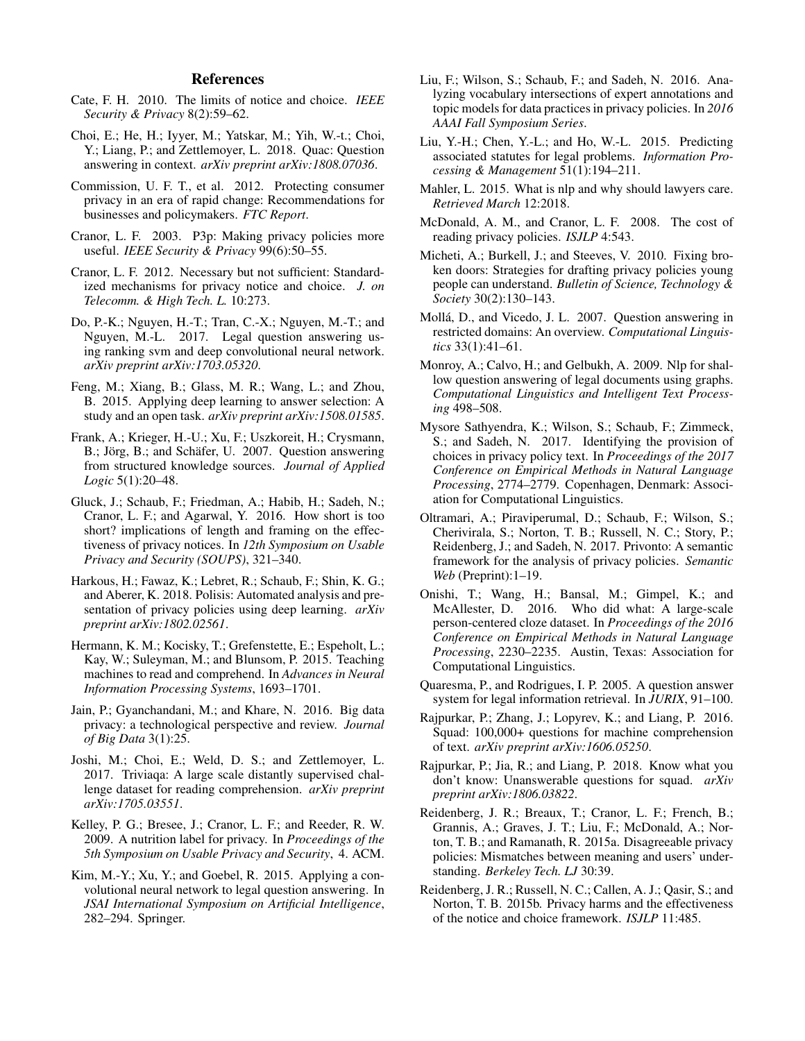# References

- Cate, F. H. 2010. The limits of notice and choice. *IEEE Security & Privacy* 8(2):59–62.
- Choi, E.; He, H.; Iyyer, M.; Yatskar, M.; Yih, W.-t.; Choi, Y.; Liang, P.; and Zettlemoyer, L. 2018. Quac: Question answering in context. *arXiv preprint arXiv:1808.07036*.
- Commission, U. F. T., et al. 2012. Protecting consumer privacy in an era of rapid change: Recommendations for businesses and policymakers. *FTC Report*.
- Cranor, L. F. 2003. P3p: Making privacy policies more useful. *IEEE Security & Privacy* 99(6):50–55.
- Cranor, L. F. 2012. Necessary but not sufficient: Standardized mechanisms for privacy notice and choice. *J. on Telecomm. & High Tech. L.* 10:273.
- Do, P.-K.; Nguyen, H.-T.; Tran, C.-X.; Nguyen, M.-T.; and Nguyen, M.-L. 2017. Legal question answering using ranking svm and deep convolutional neural network. *arXiv preprint arXiv:1703.05320*.
- Feng, M.; Xiang, B.; Glass, M. R.; Wang, L.; and Zhou, B. 2015. Applying deep learning to answer selection: A study and an open task. *arXiv preprint arXiv:1508.01585*.
- Frank, A.; Krieger, H.-U.; Xu, F.; Uszkoreit, H.; Crysmann, B.; Jörg, B.; and Schäfer, U. 2007. Question answering from structured knowledge sources. *Journal of Applied Logic* 5(1):20–48.
- Gluck, J.; Schaub, F.; Friedman, A.; Habib, H.; Sadeh, N.; Cranor, L. F.; and Agarwal, Y. 2016. How short is too short? implications of length and framing on the effectiveness of privacy notices. In *12th Symposium on Usable Privacy and Security (SOUPS)*, 321–340.
- Harkous, H.; Fawaz, K.; Lebret, R.; Schaub, F.; Shin, K. G.; and Aberer, K. 2018. Polisis: Automated analysis and presentation of privacy policies using deep learning. *arXiv preprint arXiv:1802.02561*.
- Hermann, K. M.; Kocisky, T.; Grefenstette, E.; Espeholt, L.; Kay, W.; Suleyman, M.; and Blunsom, P. 2015. Teaching machines to read and comprehend. In *Advances in Neural Information Processing Systems*, 1693–1701.
- Jain, P.; Gyanchandani, M.; and Khare, N. 2016. Big data privacy: a technological perspective and review. *Journal of Big Data* 3(1):25.
- Joshi, M.; Choi, E.; Weld, D. S.; and Zettlemoyer, L. 2017. Triviaqa: A large scale distantly supervised challenge dataset for reading comprehension. *arXiv preprint arXiv:1705.03551*.
- Kelley, P. G.; Bresee, J.; Cranor, L. F.; and Reeder, R. W. 2009. A nutrition label for privacy. In *Proceedings of the 5th Symposium on Usable Privacy and Security*, 4. ACM.
- Kim, M.-Y.; Xu, Y.; and Goebel, R. 2015. Applying a convolutional neural network to legal question answering. In *JSAI International Symposium on Artificial Intelligence*, 282–294. Springer.
- Liu, F.; Wilson, S.; Schaub, F.; and Sadeh, N. 2016. Analyzing vocabulary intersections of expert annotations and topic models for data practices in privacy policies. In *2016 AAAI Fall Symposium Series*.
- Liu, Y.-H.; Chen, Y.-L.; and Ho, W.-L. 2015. Predicting associated statutes for legal problems. *Information Processing & Management* 51(1):194–211.
- Mahler, L. 2015. What is nlp and why should lawyers care. *Retrieved March* 12:2018.
- McDonald, A. M., and Cranor, L. F. 2008. The cost of reading privacy policies. *ISJLP* 4:543.
- Micheti, A.; Burkell, J.; and Steeves, V. 2010. Fixing broken doors: Strategies for drafting privacy policies young people can understand. *Bulletin of Science, Technology & Society* 30(2):130–143.
- Molla, D., and Vicedo, J. L. 2007. Question answering in ´ restricted domains: An overview. *Computational Linguistics* 33(1):41–61.
- Monroy, A.; Calvo, H.; and Gelbukh, A. 2009. Nlp for shallow question answering of legal documents using graphs. *Computational Linguistics and Intelligent Text Processing* 498–508.
- Mysore Sathyendra, K.; Wilson, S.; Schaub, F.; Zimmeck, S.; and Sadeh, N. 2017. Identifying the provision of choices in privacy policy text. In *Proceedings of the 2017 Conference on Empirical Methods in Natural Language Processing*, 2774–2779. Copenhagen, Denmark: Association for Computational Linguistics.
- Oltramari, A.; Piraviperumal, D.; Schaub, F.; Wilson, S.; Cherivirala, S.; Norton, T. B.; Russell, N. C.; Story, P.; Reidenberg, J.; and Sadeh, N. 2017. Privonto: A semantic framework for the analysis of privacy policies. *Semantic Web* (Preprint):1–19.
- Onishi, T.; Wang, H.; Bansal, M.; Gimpel, K.; and McAllester, D. 2016. Who did what: A large-scale person-centered cloze dataset. In *Proceedings of the 2016 Conference on Empirical Methods in Natural Language Processing*, 2230–2235. Austin, Texas: Association for Computational Linguistics.
- Quaresma, P., and Rodrigues, I. P. 2005. A question answer system for legal information retrieval. In *JURIX*, 91–100.
- Rajpurkar, P.; Zhang, J.; Lopyrev, K.; and Liang, P. 2016. Squad: 100,000+ questions for machine comprehension of text. *arXiv preprint arXiv:1606.05250*.
- Rajpurkar, P.; Jia, R.; and Liang, P. 2018. Know what you don't know: Unanswerable questions for squad. *arXiv preprint arXiv:1806.03822*.
- Reidenberg, J. R.; Breaux, T.; Cranor, L. F.; French, B.; Grannis, A.; Graves, J. T.; Liu, F.; McDonald, A.; Norton, T. B.; and Ramanath, R. 2015a. Disagreeable privacy policies: Mismatches between meaning and users' understanding. *Berkeley Tech. LJ* 30:39.
- Reidenberg, J. R.; Russell, N. C.; Callen, A. J.; Qasir, S.; and Norton, T. B. 2015b. Privacy harms and the effectiveness of the notice and choice framework. *ISJLP* 11:485.